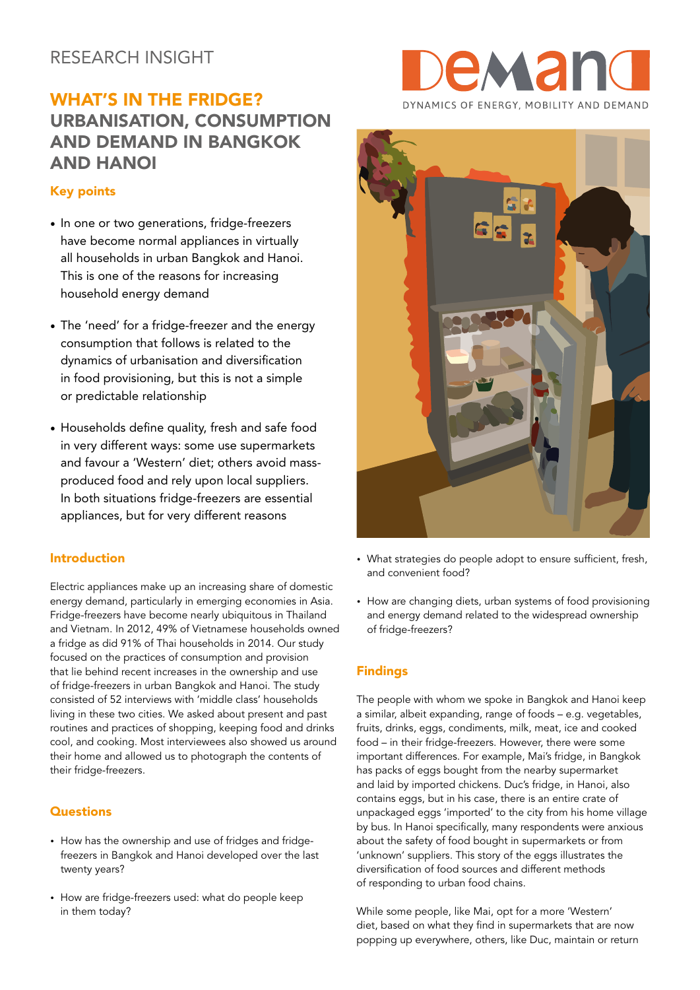# RESEARCH INSIGHT

# WHAT'S IN THE FRIDGE? URBANISATION, CONSUMPTION AND DEMAND IN BANGKOK AND HANOI

## Key points

- In one or two generations, fridge-freezers have become normal appliances in virtually all households in urban Bangkok and Hanoi. This is one of the reasons for increasing household energy demand
- The 'need' for a fridge-freezer and the energy consumption that follows is related to the dynamics of urbanisation and diversification in food provisioning, but this is not a simple or predictable relationship
- Households define quality, fresh and safe food in very different ways: some use supermarkets and favour a 'Western' diet; others avoid massproduced food and rely upon local suppliers. In both situations fridge-freezers are essential appliances, but for very different reasons

### Introduction

Electric appliances make up an increasing share of domestic energy demand, particularly in emerging economies in Asia. Fridge-freezers have become nearly ubiquitous in Thailand and Vietnam. In 2012, 49% of Vietnamese households owned a fridge as did 91% of Thai households in 2014. Our study focused on the practices of consumption and provision that lie behind recent increases in the ownership and use of fridge-freezers in urban Bangkok and Hanoi. The study consisted of 52 interviews with 'middle class' households living in these two cities. We asked about present and past routines and practices of shopping, keeping food and drinks cool, and cooking. Most interviewees also showed us around their home and allowed us to photograph the contents of their fridge-freezers.

#### **Questions**

- How has the ownership and use of fridges and fridgefreezers in Bangkok and Hanoi developed over the last twenty years?
- How are fridge-freezers used: what do people keep in them today?





- What strategies do people adopt to ensure sufficient, fresh, and convenient food?
- How are changing diets, urban systems of food provisioning and energy demand related to the widespread ownership of fridge-freezers?

## Findings

The people with whom we spoke in Bangkok and Hanoi keep a similar, albeit expanding, range of foods – e.g. vegetables, fruits, drinks, eggs, condiments, milk, meat, ice and cooked food – in their fridge-freezers. However, there were some important differences. For example, Mai's fridge, in Bangkok has packs of eggs bought from the nearby supermarket and laid by imported chickens. Duc's fridge, in Hanoi, also contains eggs, but in his case, there is an entire crate of unpackaged eggs 'imported' to the city from his home village by bus. In Hanoi specifically, many respondents were anxious about the safety of food bought in supermarkets or from 'unknown' suppliers. This story of the eggs illustrates the diversification of food sources and different methods of responding to urban food chains.

While some people, like Mai, opt for a more 'Western' diet, based on what they find in supermarkets that are now popping up everywhere, others, like Duc, maintain or return